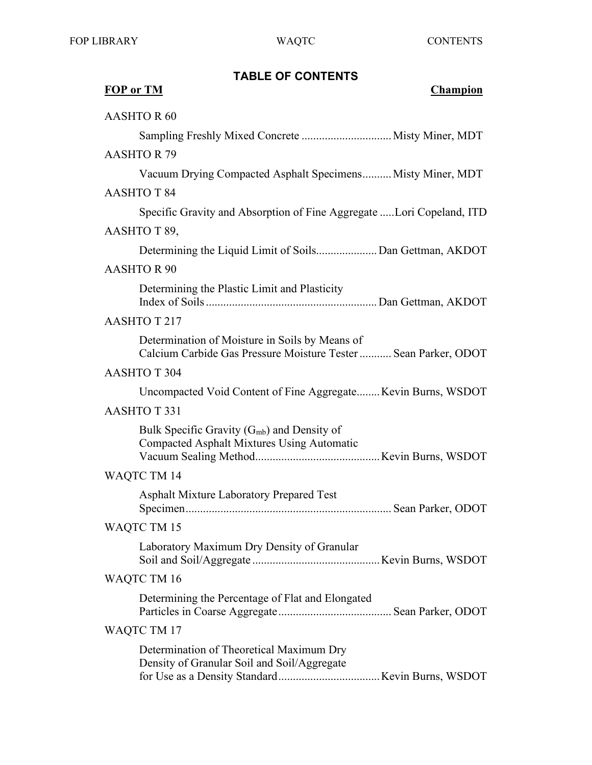## **TABLE OF CONTENTS**

| <b>FOP or TM</b><br><b>Champion</b>                                                                               |
|-------------------------------------------------------------------------------------------------------------------|
| <b>AASHTOR 60</b>                                                                                                 |
| Sampling Freshly Mixed Concrete  Misty Miner, MDT                                                                 |
| <b>AASHTOR 79</b>                                                                                                 |
| Vacuum Drying Compacted Asphalt Specimens Misty Miner, MDT                                                        |
| <b>AASHTOT 84</b>                                                                                                 |
| Specific Gravity and Absorption of Fine Aggregate Lori Copeland, ITD                                              |
| AASHTO T 89,                                                                                                      |
| Determining the Liquid Limit of Soils Dan Gettman, AKDOT                                                          |
| <b>AASHTOR 90</b>                                                                                                 |
| Determining the Plastic Limit and Plasticity                                                                      |
| <b>AASHTOT217</b>                                                                                                 |
| Determination of Moisture in Soils by Means of<br>Calcium Carbide Gas Pressure Moisture Tester  Sean Parker, ODOT |
| <b>AASHTOT 304</b>                                                                                                |
| Uncompacted Void Content of Fine Aggregate Kevin Burns, WSDOT                                                     |
| <b>AASHTOT331</b>                                                                                                 |
| Bulk Specific Gravity $(G_{mb})$ and Density of<br>Compacted Asphalt Mixtures Using Automatic                     |
| WAQTC TM 14                                                                                                       |
| <b>Asphalt Mixture Laboratory Prepared Test</b>                                                                   |
| WAQTC TM 15                                                                                                       |
| Laboratory Maximum Dry Density of Granular                                                                        |
| WAQTC TM 16                                                                                                       |
| Determining the Percentage of Flat and Elongated                                                                  |
| WAQTC TM 17                                                                                                       |
| Determination of Theoretical Maximum Dry<br>Density of Granular Soil and Soil/Aggregate                           |